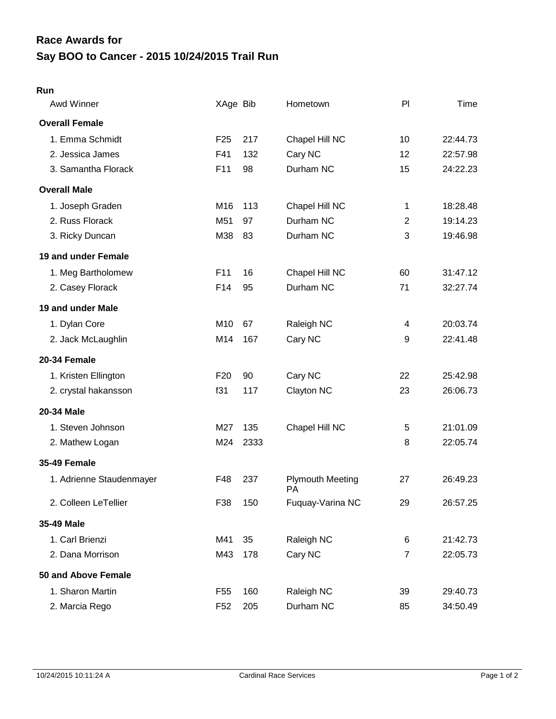## **Say BOO to Cancer - 2015 10/24/2015 Trail Run Race Awards for**

## **Run**

| Awd Winner               | XAge Bib        |      | Hometown                      | P              | Time     |
|--------------------------|-----------------|------|-------------------------------|----------------|----------|
| <b>Overall Female</b>    |                 |      |                               |                |          |
| 1. Emma Schmidt          | F <sub>25</sub> | 217  | Chapel Hill NC                | 10             | 22:44.73 |
| 2. Jessica James         | F41             | 132  | Cary NC                       | 12             | 22:57.98 |
| 3. Samantha Florack      | F11             | 98   | Durham NC                     | 15             | 24:22.23 |
| <b>Overall Male</b>      |                 |      |                               |                |          |
| 1. Joseph Graden         | M16             | 113  | Chapel Hill NC                | 1              | 18:28.48 |
| 2. Russ Florack          | M51             | 97   | Durham NC                     | $\overline{2}$ | 19:14.23 |
| 3. Ricky Duncan          | M38             | 83   | Durham NC                     | 3              | 19:46.98 |
| 19 and under Female      |                 |      |                               |                |          |
| 1. Meg Bartholomew       | F11             | 16   | Chapel Hill NC                | 60             | 31:47.12 |
| 2. Casey Florack         | F14             | 95   | Durham NC                     | 71             | 32:27.74 |
| 19 and under Male        |                 |      |                               |                |          |
| 1. Dylan Core            | M10             | 67   | Raleigh NC                    | 4              | 20:03.74 |
| 2. Jack McLaughlin       | M14             | 167  | Cary NC                       | 9              | 22:41.48 |
| 20-34 Female             |                 |      |                               |                |          |
| 1. Kristen Ellington     | F <sub>20</sub> | 90   | Cary NC                       | 22             | 25:42.98 |
| 2. crystal hakansson     | f31             | 117  | Clayton NC                    | 23             | 26:06.73 |
| 20-34 Male               |                 |      |                               |                |          |
| 1. Steven Johnson        | M27             | 135  | Chapel Hill NC                | 5              | 21:01.09 |
| 2. Mathew Logan          | M24             | 2333 |                               | 8              | 22:05.74 |
| <b>35-49 Female</b>      |                 |      |                               |                |          |
| 1. Adrienne Staudenmayer | F48             | 237  | <b>Plymouth Meeting</b><br>PA | 27             | 26:49.23 |
| 2. Colleen LeTellier     | F38             | 150  | Fuquay-Varina NC              | 29             | 26:57.25 |
| 35-49 Male               |                 |      |                               |                |          |
| 1. Carl Brienzi          | M41             | 35   | Raleigh NC                    | 6              | 21:42.73 |
| 2. Dana Morrison         | M43             | 178  | Cary NC                       | $\overline{7}$ | 22:05.73 |
| 50 and Above Female      |                 |      |                               |                |          |
| 1. Sharon Martin         | F <sub>55</sub> | 160  | Raleigh NC                    | 39             | 29:40.73 |
| 2. Marcia Rego           | F <sub>52</sub> | 205  | Durham NC                     | 85             | 34:50.49 |